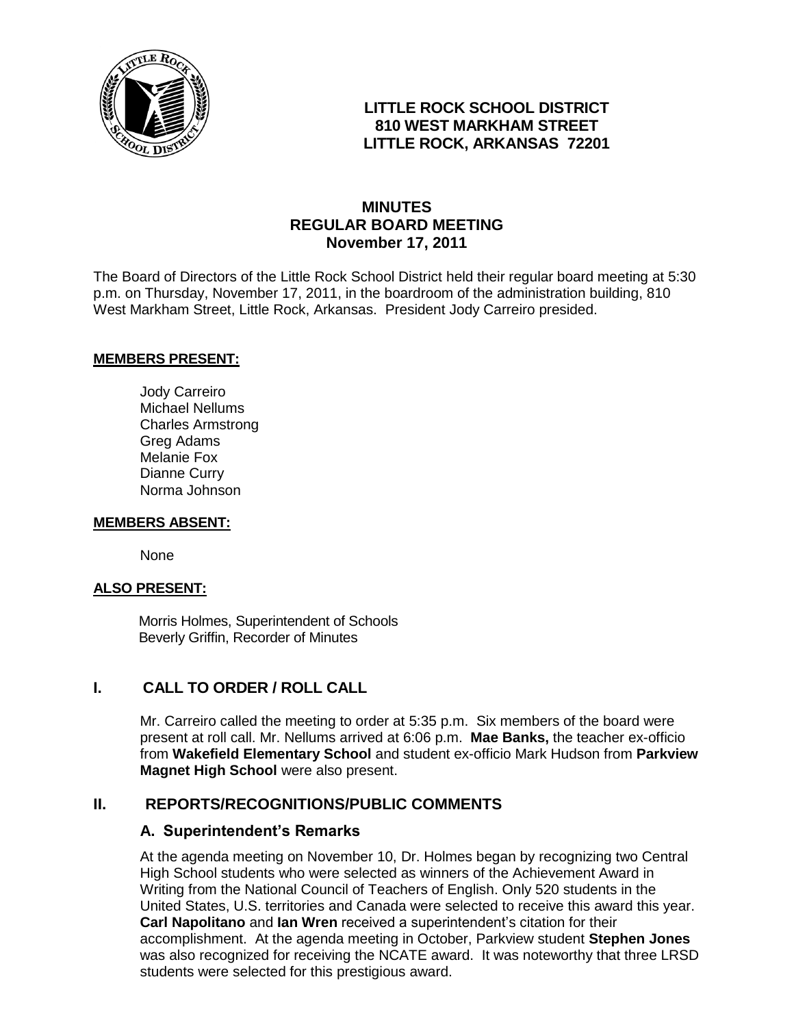

# **LITTLE ROCK SCHOOL DISTRICT 810 WEST MARKHAM STREET LITTLE ROCK, ARKANSAS 72201**

# **MINUTES REGULAR BOARD MEETING November 17, 2011**

The Board of Directors of the Little Rock School District held their regular board meeting at 5:30 p.m. on Thursday, November 17, 2011, in the boardroom of the administration building, 810 West Markham Street, Little Rock, Arkansas. President Jody Carreiro presided.

#### **MEMBERS PRESENT:**

Jody Carreiro Michael Nellums Charles Armstrong Greg Adams Melanie Fox Dianne Curry Norma Johnson

#### **MEMBERS ABSENT:**

None

#### **ALSO PRESENT:**

 Morris Holmes, Superintendent of Schools Beverly Griffin, Recorder of Minutes

# **I. CALL TO ORDER / ROLL CALL**

Mr. Carreiro called the meeting to order at 5:35 p.m. Six members of the board were present at roll call. Mr. Nellums arrived at 6:06 p.m. **Mae Banks,** the teacher ex-officio from **Wakefield Elementary School** and student ex-officio Mark Hudson from **Parkview Magnet High School** were also present.

# **II. REPORTS/RECOGNITIONS/PUBLIC COMMENTS**

#### **A. Superintendent's Remarks**

At the agenda meeting on November 10, Dr. Holmes began by recognizing two Central High School students who were selected as winners of the Achievement Award in Writing from the National Council of Teachers of English. Only 520 students in the United States, U.S. territories and Canada were selected to receive this award this year. **Carl Napolitano** and **Ian Wren** received a superintendent's citation for their accomplishment. At the agenda meeting in October, Parkview student **Stephen Jones** was also recognized for receiving the NCATE award. It was noteworthy that three LRSD students were selected for this prestigious award.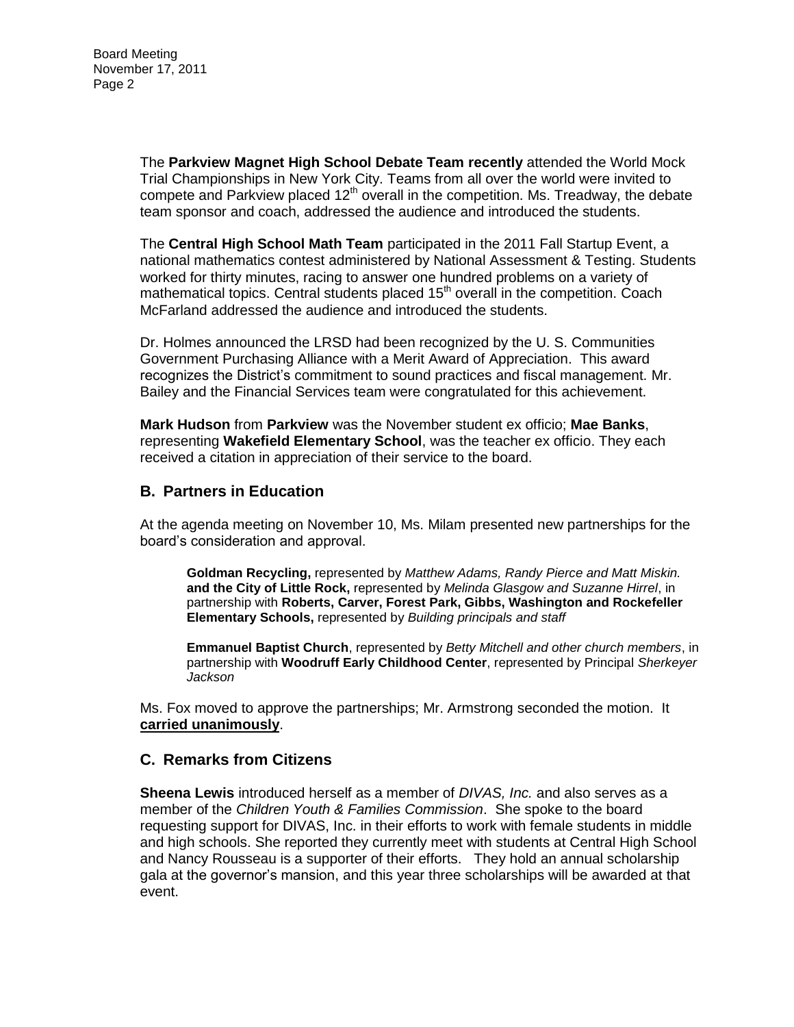Board Meeting November 17, 2011 Page 2

> The **Parkview Magnet High School Debate Team recently** attended the World Mock Trial Championships in New York City. Teams from all over the world were invited to compete and Parkview placed  $12<sup>th</sup>$  overall in the competition. Ms. Treadway, the debate team sponsor and coach, addressed the audience and introduced the students.

> The **Central High School Math Team** participated in the 2011 Fall Startup Event, a national mathematics contest administered by National Assessment & Testing. Students worked for thirty minutes, racing to answer one hundred problems on a variety of mathematical topics. Central students placed  $15<sup>th</sup>$  overall in the competition. Coach McFarland addressed the audience and introduced the students.

Dr. Holmes announced the LRSD had been recognized by the U. S. Communities Government Purchasing Alliance with a Merit Award of Appreciation. This award recognizes the District's commitment to sound practices and fiscal management. Mr. Bailey and the Financial Services team were congratulated for this achievement.

**Mark Hudson** from **Parkview** was the November student ex officio; **Mae Banks**, representing **Wakefield Elementary School**, was the teacher ex officio. They each received a citation in appreciation of their service to the board.

#### **B. Partners in Education**

At the agenda meeting on November 10, Ms. Milam presented new partnerships for the board's consideration and approval.

**Goldman Recycling,** represented by *Matthew Adams, Randy Pierce and Matt Miskin.* **and the City of Little Rock,** represented by *Melinda Glasgow and Suzanne Hirrel*, in partnership with **Roberts, Carver, Forest Park, Gibbs, Washington and Rockefeller Elementary Schools,** represented by *Building principals and staff*

**Emmanuel Baptist Church**, represented by *Betty Mitchell and other church members*, in partnership with **Woodruff Early Childhood Center**, represented by Principal *Sherkeyer Jackson*

Ms. Fox moved to approve the partnerships; Mr. Armstrong seconded the motion. It **carried unanimously**.

#### **C. Remarks from Citizens**

**Sheena Lewis** introduced herself as a member of *DIVAS, Inc.* and also serves as a member of the *Children Youth & Families Commission*. She spoke to the board requesting support for DIVAS, Inc. in their efforts to work with female students in middle and high schools. She reported they currently meet with students at Central High School and Nancy Rousseau is a supporter of their efforts. They hold an annual scholarship gala at the governor's mansion, and this year three scholarships will be awarded at that event.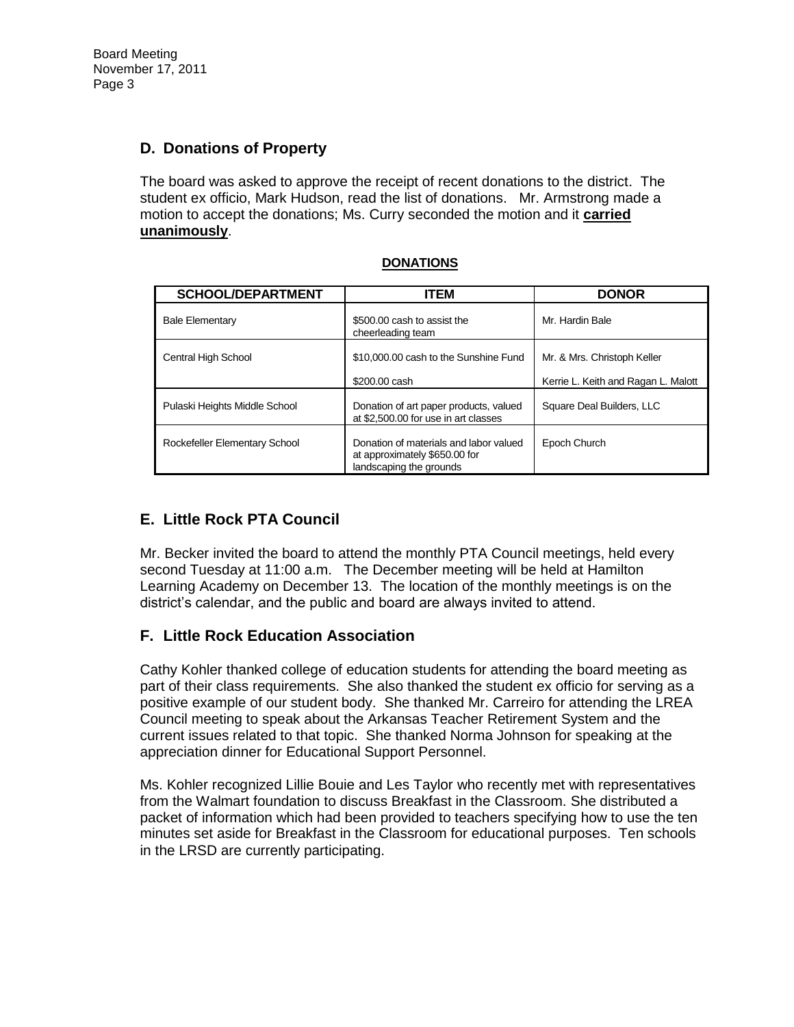# **D. Donations of Property**

The board was asked to approve the receipt of recent donations to the district. The student ex officio, Mark Hudson, read the list of donations. Mr. Armstrong made a motion to accept the donations; Ms. Curry seconded the motion and it **carried unanimously**.

| <b>SCHOOL/DEPARTMENT</b>      | <b>ITEM</b>                                                                                        | <b>DONOR</b>                                                       |
|-------------------------------|----------------------------------------------------------------------------------------------------|--------------------------------------------------------------------|
| <b>Bale Elementary</b>        | \$500,00 cash to assist the<br>cheerleading team                                                   | Mr. Hardin Bale                                                    |
| Central High School           | \$10,000,00 cash to the Sunshine Fund<br>\$200,00 cash                                             | Mr. & Mrs. Christoph Keller<br>Kerrie L. Keith and Ragan L. Malott |
| Pulaski Heights Middle School | Donation of art paper products, valued<br>at \$2,500.00 for use in art classes                     | Square Deal Builders, LLC                                          |
| Rockefeller Elementary School | Donation of materials and labor valued<br>at approximately \$650.00 for<br>landscaping the grounds | Epoch Church                                                       |

#### **DONATIONS**

# **E. Little Rock PTA Council**

Mr. Becker invited the board to attend the monthly PTA Council meetings, held every second Tuesday at 11:00 a.m. The December meeting will be held at Hamilton Learning Academy on December 13. The location of the monthly meetings is on the district's calendar, and the public and board are always invited to attend.

# **F. Little Rock Education Association**

Cathy Kohler thanked college of education students for attending the board meeting as part of their class requirements. She also thanked the student ex officio for serving as a positive example of our student body. She thanked Mr. Carreiro for attending the LREA Council meeting to speak about the Arkansas Teacher Retirement System and the current issues related to that topic. She thanked Norma Johnson for speaking at the appreciation dinner for Educational Support Personnel.

Ms. Kohler recognized Lillie Bouie and Les Taylor who recently met with representatives from the Walmart foundation to discuss Breakfast in the Classroom. She distributed a packet of information which had been provided to teachers specifying how to use the ten minutes set aside for Breakfast in the Classroom for educational purposes. Ten schools in the LRSD are currently participating.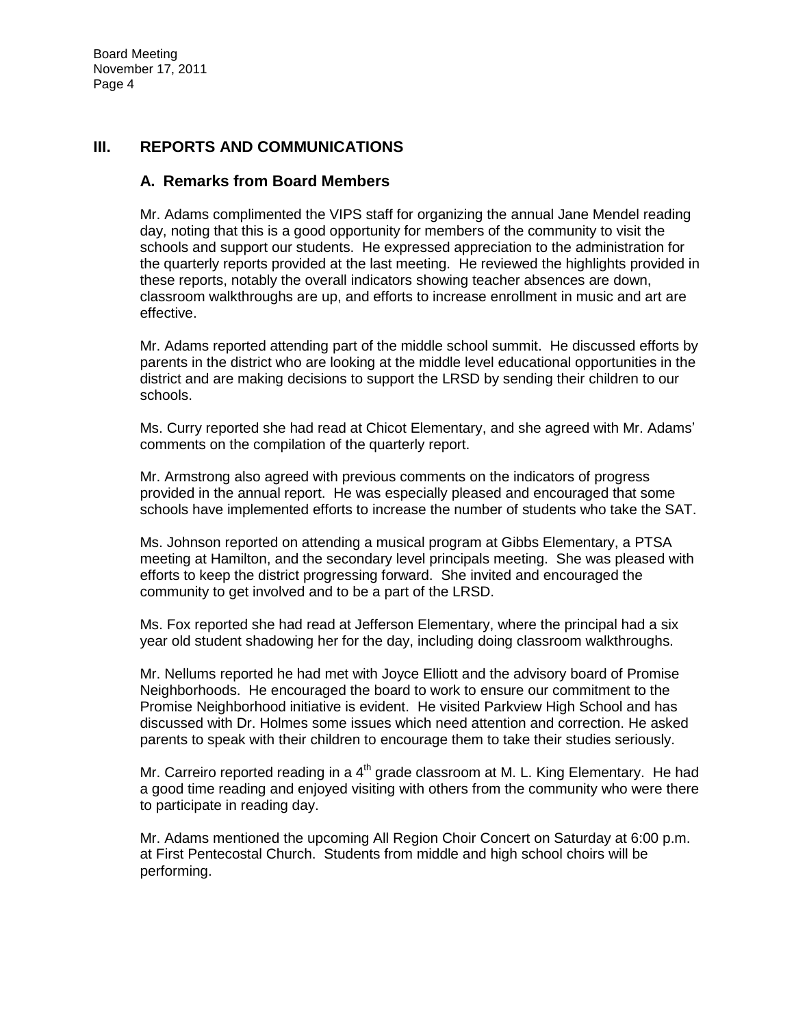# **III. REPORTS AND COMMUNICATIONS**

# **A. Remarks from Board Members**

Mr. Adams complimented the VIPS staff for organizing the annual Jane Mendel reading day, noting that this is a good opportunity for members of the community to visit the schools and support our students. He expressed appreciation to the administration for the quarterly reports provided at the last meeting. He reviewed the highlights provided in these reports, notably the overall indicators showing teacher absences are down, classroom walkthroughs are up, and efforts to increase enrollment in music and art are effective.

Mr. Adams reported attending part of the middle school summit. He discussed efforts by parents in the district who are looking at the middle level educational opportunities in the district and are making decisions to support the LRSD by sending their children to our schools.

Ms. Curry reported she had read at Chicot Elementary, and she agreed with Mr. Adams' comments on the compilation of the quarterly report.

Mr. Armstrong also agreed with previous comments on the indicators of progress provided in the annual report. He was especially pleased and encouraged that some schools have implemented efforts to increase the number of students who take the SAT.

Ms. Johnson reported on attending a musical program at Gibbs Elementary, a PTSA meeting at Hamilton, and the secondary level principals meeting. She was pleased with efforts to keep the district progressing forward. She invited and encouraged the community to get involved and to be a part of the LRSD.

Ms. Fox reported she had read at Jefferson Elementary, where the principal had a six year old student shadowing her for the day, including doing classroom walkthroughs.

Mr. Nellums reported he had met with Joyce Elliott and the advisory board of Promise Neighborhoods. He encouraged the board to work to ensure our commitment to the Promise Neighborhood initiative is evident. He visited Parkview High School and has discussed with Dr. Holmes some issues which need attention and correction. He asked parents to speak with their children to encourage them to take their studies seriously.

Mr. Carreiro reported reading in a  $4<sup>th</sup>$  grade classroom at M. L. King Elementary. He had a good time reading and enjoyed visiting with others from the community who were there to participate in reading day.

Mr. Adams mentioned the upcoming All Region Choir Concert on Saturday at 6:00 p.m. at First Pentecostal Church. Students from middle and high school choirs will be performing.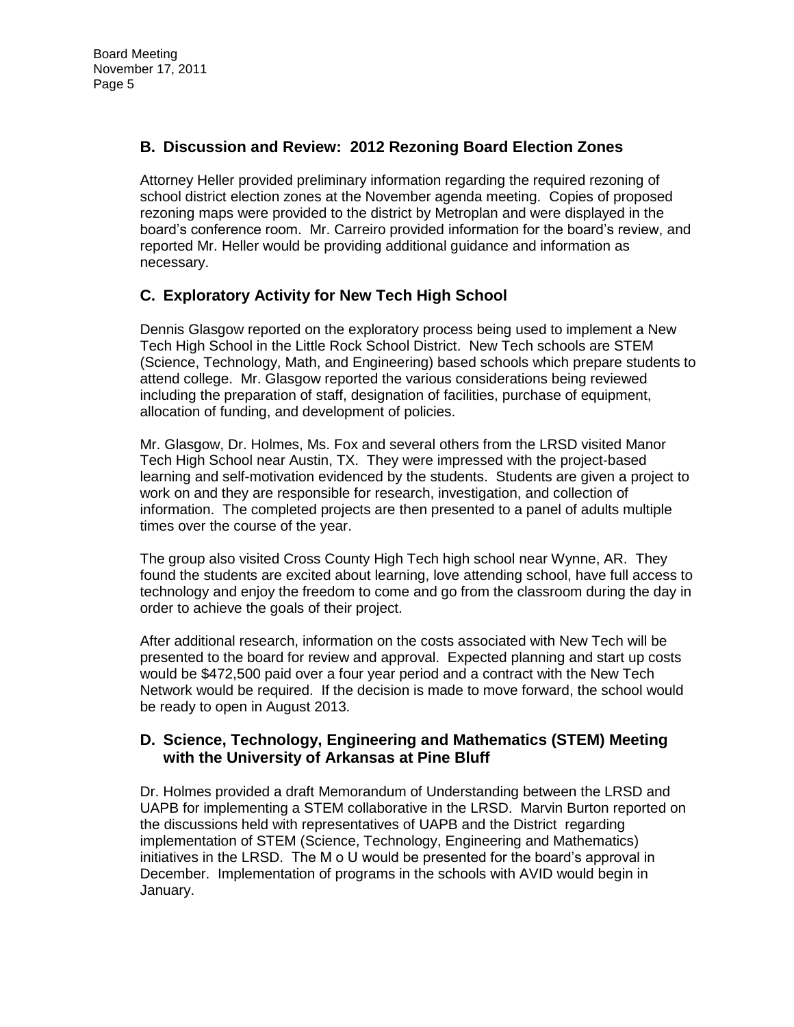# **B. Discussion and Review: 2012 Rezoning Board Election Zones**

Attorney Heller provided preliminary information regarding the required rezoning of school district election zones at the November agenda meeting. Copies of proposed rezoning maps were provided to the district by Metroplan and were displayed in the board's conference room. Mr. Carreiro provided information for the board's review, and reported Mr. Heller would be providing additional guidance and information as necessary.

# **C. Exploratory Activity for New Tech High School**

Dennis Glasgow reported on the exploratory process being used to implement a New Tech High School in the Little Rock School District. New Tech schools are STEM (Science, Technology, Math, and Engineering) based schools which prepare students to attend college. Mr. Glasgow reported the various considerations being reviewed including the preparation of staff, designation of facilities, purchase of equipment, allocation of funding, and development of policies.

Mr. Glasgow, Dr. Holmes, Ms. Fox and several others from the LRSD visited Manor Tech High School near Austin, TX. They were impressed with the project-based learning and self-motivation evidenced by the students. Students are given a project to work on and they are responsible for research, investigation, and collection of information. The completed projects are then presented to a panel of adults multiple times over the course of the year.

The group also visited Cross County High Tech high school near Wynne, AR. They found the students are excited about learning, love attending school, have full access to technology and enjoy the freedom to come and go from the classroom during the day in order to achieve the goals of their project.

After additional research, information on the costs associated with New Tech will be presented to the board for review and approval. Expected planning and start up costs would be \$472,500 paid over a four year period and a contract with the New Tech Network would be required. If the decision is made to move forward, the school would be ready to open in August 2013.

# **D. Science, Technology, Engineering and Mathematics (STEM) Meeting with the University of Arkansas at Pine Bluff**

Dr. Holmes provided a draft Memorandum of Understanding between the LRSD and UAPB for implementing a STEM collaborative in the LRSD. Marvin Burton reported on the discussions held with representatives of UAPB and the District regarding implementation of STEM (Science, Technology, Engineering and Mathematics) initiatives in the LRSD. The M o U would be presented for the board's approval in December. Implementation of programs in the schools with AVID would begin in January.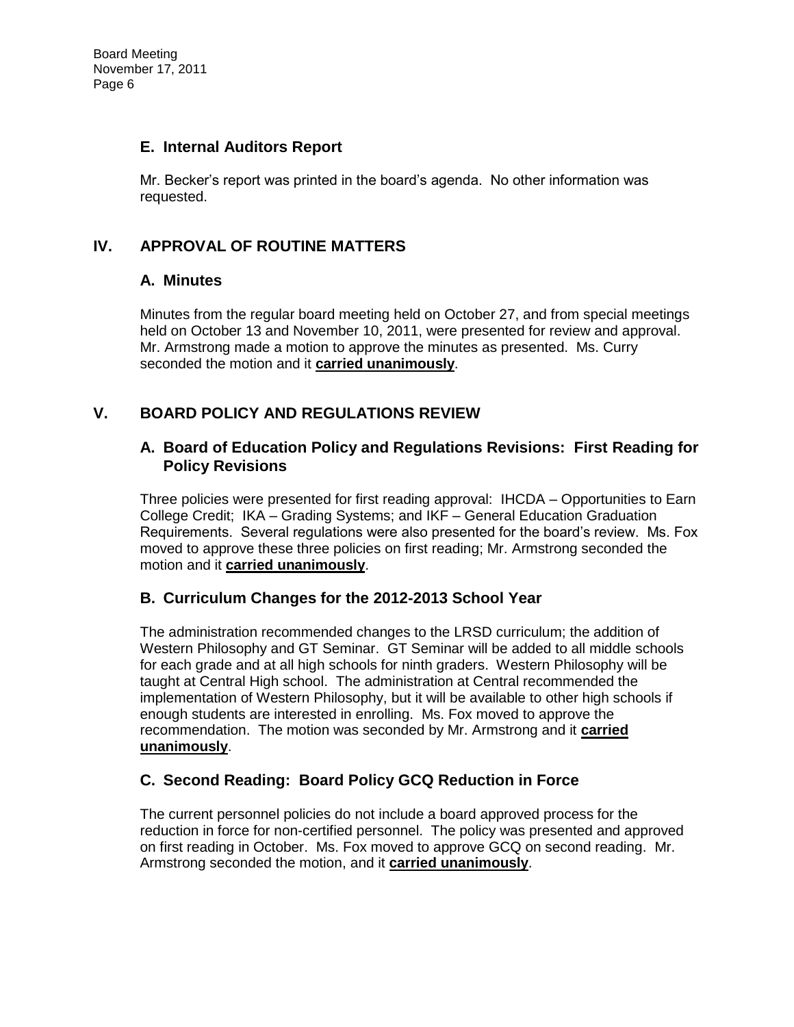# **E. Internal Auditors Report**

Mr. Becker's report was printed in the board's agenda. No other information was requested.

# **IV. APPROVAL OF ROUTINE MATTERS**

# **A. Minutes**

Minutes from the regular board meeting held on October 27, and from special meetings held on October 13 and November 10, 2011, were presented for review and approval. Mr. Armstrong made a motion to approve the minutes as presented. Ms. Curry seconded the motion and it **carried unanimously**.

# **V. BOARD POLICY AND REGULATIONS REVIEW**

# **A. Board of Education Policy and Regulations Revisions: First Reading for Policy Revisions**

Three policies were presented for first reading approval: IHCDA – Opportunities to Earn College Credit; IKA – Grading Systems; and IKF – General Education Graduation Requirements. Several regulations were also presented for the board's review. Ms. Fox moved to approve these three policies on first reading; Mr. Armstrong seconded the motion and it **carried unanimously**.

# **B. Curriculum Changes for the 2012-2013 School Year**

The administration recommended changes to the LRSD curriculum; the addition of Western Philosophy and GT Seminar. GT Seminar will be added to all middle schools for each grade and at all high schools for ninth graders. Western Philosophy will be taught at Central High school. The administration at Central recommended the implementation of Western Philosophy, but it will be available to other high schools if enough students are interested in enrolling. Ms. Fox moved to approve the recommendation. The motion was seconded by Mr. Armstrong and it **carried unanimously**.

# **C. Second Reading: Board Policy GCQ Reduction in Force**

The current personnel policies do not include a board approved process for the reduction in force for non-certified personnel. The policy was presented and approved on first reading in October. Ms. Fox moved to approve GCQ on second reading. Mr. Armstrong seconded the motion, and it **carried unanimously**.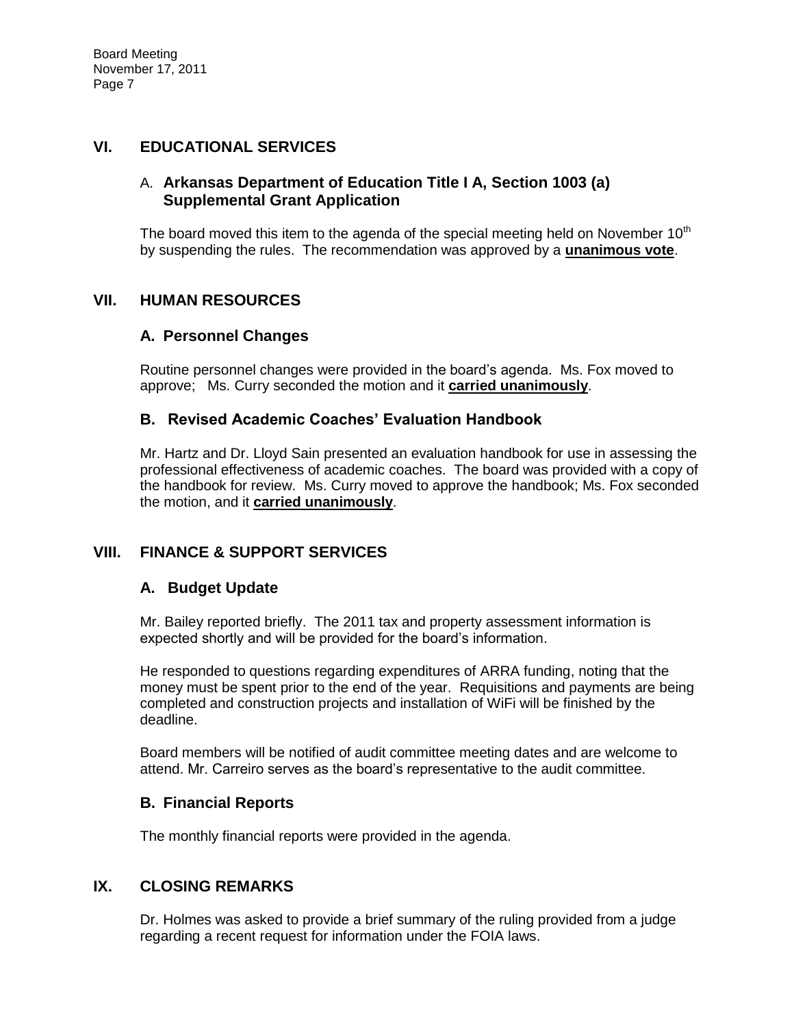### **VI. EDUCATIONAL SERVICES**

# A. **Arkansas Department of Education Title I A, Section 1003 (a) Supplemental Grant Application**

The board moved this item to the agenda of the special meeting held on November  $10<sup>th</sup>$ by suspending the rules. The recommendation was approved by a **unanimous vote**.

### **VII. HUMAN RESOURCES**

### **A. Personnel Changes**

Routine personnel changes were provided in the board's agenda. Ms. Fox moved to approve; Ms. Curry seconded the motion and it **carried unanimously**.

### **B. Revised Academic Coaches' Evaluation Handbook**

Mr. Hartz and Dr. Lloyd Sain presented an evaluation handbook for use in assessing the professional effectiveness of academic coaches. The board was provided with a copy of the handbook for review. Ms. Curry moved to approve the handbook; Ms. Fox seconded the motion, and it **carried unanimously**.

# **VIII. FINANCE & SUPPORT SERVICES**

#### **A. Budget Update**

Mr. Bailey reported briefly. The 2011 tax and property assessment information is expected shortly and will be provided for the board's information.

He responded to questions regarding expenditures of ARRA funding, noting that the money must be spent prior to the end of the year. Requisitions and payments are being completed and construction projects and installation of WiFi will be finished by the deadline.

Board members will be notified of audit committee meeting dates and are welcome to attend. Mr. Carreiro serves as the board's representative to the audit committee.

#### **B. Financial Reports**

The monthly financial reports were provided in the agenda.

# **IX. CLOSING REMARKS**

Dr. Holmes was asked to provide a brief summary of the ruling provided from a judge regarding a recent request for information under the FOIA laws.